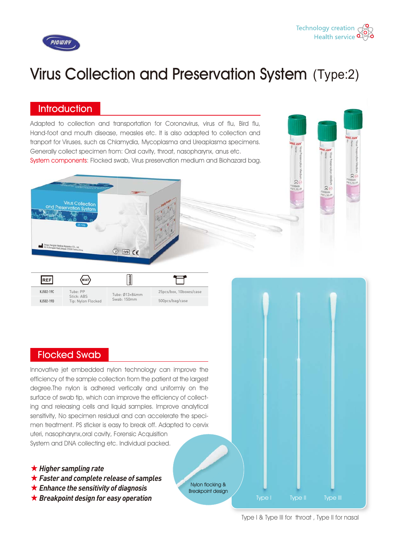



# Virus Collection and Preservation System (Type:2)

Nylon flocking & Breakpoint design

#### **Introduction**

Adapted to collection and transportation for Coronavirus, virus of flu, Bird flu, Hand-foot and mouth disease, measles etc. It is also adapted to collection and tranport for Viruses, such as Chlamydia, Mycoplasma and Ureaplasma specimens. Generally collect specimen from: Oral cavity, throat, nasopharynx, anus etc. System components: Flocked swab, Virus preservation medium and Biohazard bag.



| REF       | (мат)                                        | <b>TERRATORIAL PROPERTY</b>   |                         |
|-----------|----------------------------------------------|-------------------------------|-------------------------|
| KJ502-19C | Tube: PP<br>Stick: ABS<br>Tip: Nylon Flocked | Tube: 013×84mm<br>Swab: 150mm | 25pcs/box, 10boxes/case |
| KJ502-19D |                                              |                               | 500pcs/bag/case         |

## Flocked Swab

Innovative jet embedded nylon technology can improve the efficiency of the sample collection from the patient at the largest degree.The nylon is adhered vertically and uniformly on the surface of swab tip, which can improve the efficiency of collecting and releasing cells and liquid samples. Improve analytical sensitivity, No specimen residual and can accelerate the specimen treatment. PS sticker is easy to break off. Adapted to cervix uteri, nasopharynx,oral cavity, Forensic Acquisition System and DNA collecting etc. Individual packed.

- ★ *Higher sampling rate*
- ★ *Faster and complete release of samples*
- ★ *Enhance the sensitivity of diagnosis*
- ★ *Breakpoint design for easy operation*

Type I Type II Type III